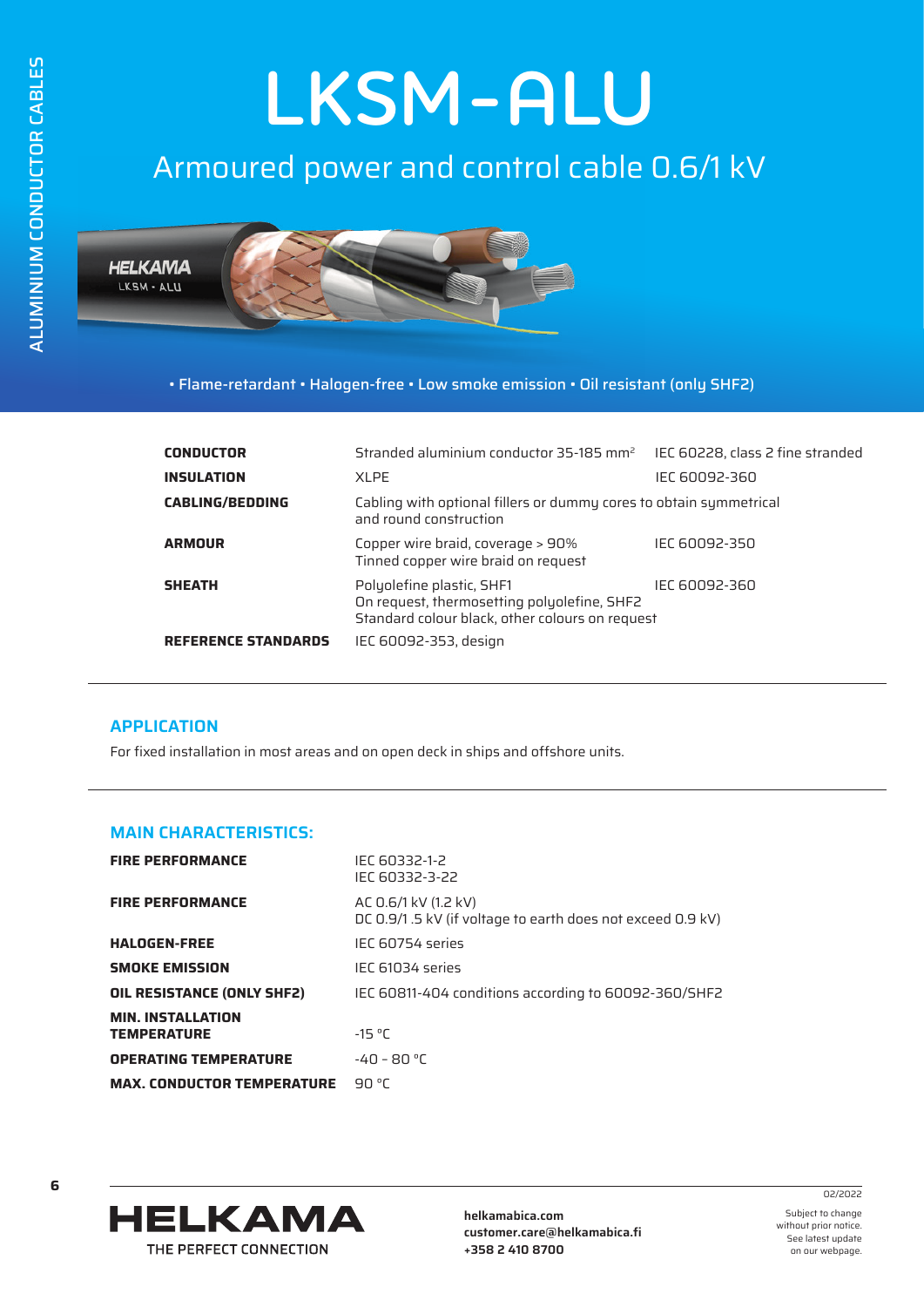# **LKSM-ALU**

## Armoured power and control cable 0.6/1 kV



• Flame-retardant • Halogen-free • Low smoke emission • Oil resistant (only SHF2)

| <b>CONDUCTOR</b>           | Stranded aluminium conductor 35-185 $mm2$                                                                                                    | IEC 60228, class 2 fine stranded |  |  |  |
|----------------------------|----------------------------------------------------------------------------------------------------------------------------------------------|----------------------------------|--|--|--|
| <b>INSULATION</b>          | XI PF                                                                                                                                        | IEC 60092-360                    |  |  |  |
| <b>CABLING/BEDDING</b>     | Cabling with optional fillers or dummy cores to obtain symmetrical<br>and round construction                                                 |                                  |  |  |  |
| <b>ARMOUR</b>              | Copper wire braid, coverage > 90%<br>Tinned copper wire braid on request                                                                     | IEC 60092-350                    |  |  |  |
| <b>SHEATH</b>              | Polyolefine plastic, SHF1<br>IEC 60092-360<br>On request, thermosetting polyolefine, SHF2<br>Standard colour black, other colours on request |                                  |  |  |  |
| <b>REFERENCE STANDARDS</b> | IEC 60092-353, design                                                                                                                        |                                  |  |  |  |

#### **APPLICATION**

For fixed installation in most areas and on open deck in ships and offshore units.

#### **MAIN CHARACTERISTICS:**

| <b>FIRE PERFORMANCE</b>                        | IEC 60332-1-2<br>IEC 60332-3-22                                                    |
|------------------------------------------------|------------------------------------------------------------------------------------|
| <b>FIRE PERFORMANCE</b>                        | AC 0.6/1 kV (1.2 kV)<br>DC 0.9/1.5 kV (if voltage to earth does not exceed 0.9 kV) |
| <b>HALOGEN-FREE</b>                            | IFC 60754 series                                                                   |
| <b>SMOKE EMISSION</b>                          | IEC 61034 series                                                                   |
| OIL RESISTANCE (ONLY SHF2)                     | IEC 60811-404 conditions according to 60092-360/SHF2                               |
| <b>MIN. INSTALLATION</b><br><b>TEMPERATURE</b> | $-15 °C$                                                                           |
| <b>OPERATING TEMPERATURE</b>                   | $-40 - 80 °C$                                                                      |
| <b>MAX. CONDUCTOR TEMPERATURE</b>              | 90 °C                                                                              |



**helkamabica.com customer.care@helkamabica.fi +358 2 410 8700**

Subject to change without prior notice. See latest update on our webpage.